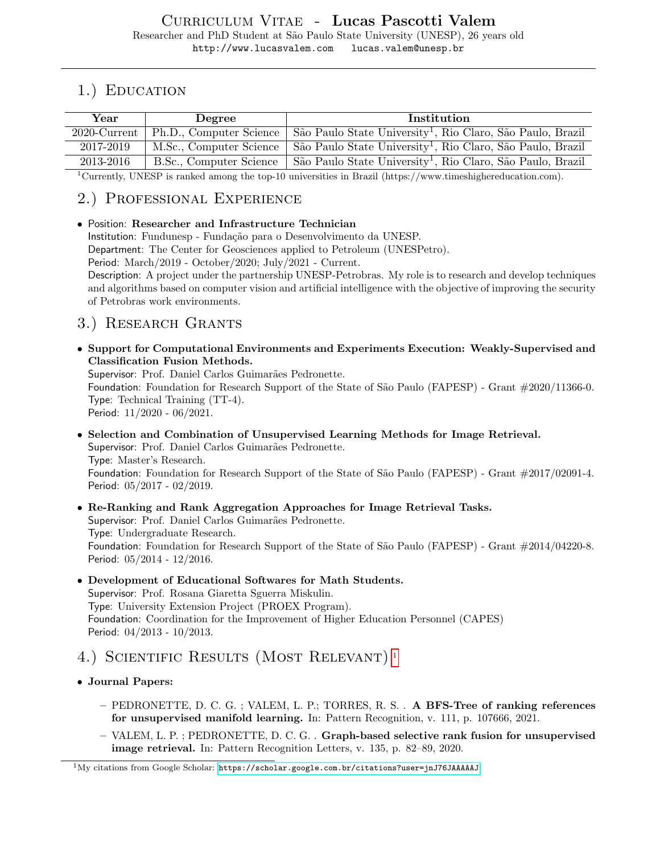# 1.) EDUCATION

| Year            | Degree                  | Institution                                                            |
|-----------------|-------------------------|------------------------------------------------------------------------|
| $2020$ -Current | Ph.D., Computer Science | São Paulo State University <sup>1</sup> , Rio Claro, São Paulo, Brazil |
| 2017-2019       | M.Sc., Computer Science | São Paulo State University <sup>1</sup> , Rio Claro, São Paulo, Brazil |
| 2013-2016       | B.Sc., Computer Science | São Paulo State University <sup>1</sup> , Rio Claro, São Paulo, Brazil |

<sup>1</sup>Currently, UNESP is ranked among the top-10 universities in Brazil (https://www.timeshighereducation.com).

## 2.) Professional Experience

• Position: Researcher and Infrastructure Technician Institution: Fundunesp - Fundação para o Desenvolvimento da UNESP. Department: The Center for Geosciences applied to Petroleum (UNESPetro). Period: March/2019 - October/2020; July/2021 - Current. Description: A project under the partnership UNESP-Petrobras. My role is to research and develop techniques and algorithms based on computer vision and artificial intelligence with the objective of improving the security of Petrobras work environments.

### 3.) Research Grants

• Support for Computational Environments and Experiments Execution: Weakly-Supervised and Classification Fusion Methods.

Supervisor: Prof. Daniel Carlos Guimarães Pedronette.

Foundation: Foundation for Research Support of the State of São Paulo (FAPESP) - Grant  $\#2020/11366$ -0. Type: Technical Training (TT-4).

Period: 11/2020 - 06/2021.

- Selection and Combination of Unsupervised Learning Methods for Image Retrieval. Supervisor: Prof. Daniel Carlos Guimarães Pedronette. Type: Master's Research. Foundation: Foundation for Research Support of the State of São Paulo (FAPESP) - Grant  $\#2017/02091-4$ . Period: 05/2017 - 02/2019.
- Re-Ranking and Rank Aggregation Approaches for Image Retrieval Tasks. Supervisor: Prof. Daniel Carlos Guimarães Pedronette. Type: Undergraduate Research. Foundation: Foundation for Research Support of the State of São Paulo (FAPESP) - Grant  $\#2014/04220$ -8. Period: 05/2014 - 12/2016.
- Development of Educational Softwares for Math Students. Supervisor: Prof. Rosana Giaretta Sguerra Miskulin. Type: University Extension Project (PROEX Program). Foundation: Coordination for the Improvement of Higher Education Personnel (CAPES) Period: 04/2013 - 10/2013.
- 4.) Scientific Results (Most Relevant) [1](#page-0-0)
- Journal Papers:
	- PEDRONETTE, D. C. G. ; VALEM, L. P.; TORRES, R. S. . A BFS-Tree of ranking references for unsupervised manifold learning. In: Pattern Recognition, v. 111, p. 107666, 2021.
	- VALEM, L. P. ; PEDRONETTE, D. C. G. . Graph-based selective rank fusion for unsupervised image retrieval. In: Pattern Recognition Letters, v. 135, p. 82–89, 2020.

<span id="page-0-0"></span> $1\,\text{My}$  citations from Google Scholar: <https://scholar.google.com.br/citations?user=jnJ76JAAAAAJ>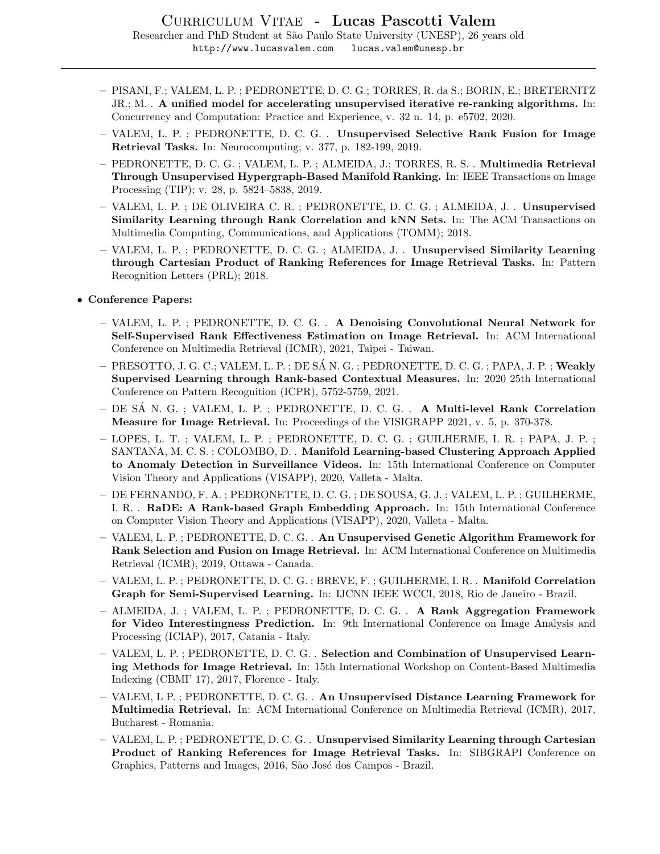- PISANI, F.; VALEM, L. P. ; PEDRONETTE, D. C. G.; TORRES, R. da S.; BORIN, E.; BRETERNITZ JR.; M. . A unified model for accelerating unsupervised iterative re-ranking algorithms. In: Concurrency and Computation: Practice and Experience, v. 32 n. 14, p. e5702, 2020.
- VALEM, L. P. ; PEDRONETTE, D. C. G. . Unsupervised Selective Rank Fusion for Image Retrieval Tasks. In: Neurocomputing; v. 377, p. 182-199, 2019.
- PEDRONETTE, D. C. G. ; VALEM, L. P. ; ALMEIDA, J.; TORRES, R. S. . Multimedia Retrieval Through Unsupervised Hypergraph-Based Manifold Ranking. In: IEEE Transactions on Image Processing (TIP); v. 28, p. 5824–5838, 2019.
- VALEM, L. P. ; DE OLIVEIRA C. R. ; PEDRONETTE, D. C. G. ; ALMEIDA, J. . Unsupervised Similarity Learning through Rank Correlation and kNN Sets. In: The ACM Transactions on Multimedia Computing, Communications, and Applications (TOMM); 2018.
- VALEM, L. P. ; PEDRONETTE, D. C. G. ; ALMEIDA, J. . Unsupervised Similarity Learning through Cartesian Product of Ranking References for Image Retrieval Tasks. In: Pattern Recognition Letters (PRL); 2018.
- Conference Papers:
	- VALEM, L. P. ; PEDRONETTE, D. C. G. . A Denoising Convolutional Neural Network for Self-Supervised Rank Effectiveness Estimation on Image Retrieval. In: ACM International Conference on Multimedia Retrieval (ICMR), 2021, Taipei - Taiwan.
	- PRESOTTO, J. G. C.; VALEM, L. P. ; DE SA N. G. ; PEDRONETTE, D. C. G. ; PAPA, J. P. ; ´ Weakly Supervised Learning through Rank-based Contextual Measures. In: 2020 25th International Conference on Pattern Recognition (ICPR), 5752-5759, 2021.
	- DE SA N. G. ; VALEM, L. P. ; PEDRONETTE, D. C. G. . ´ A Multi-level Rank Correlation Measure for Image Retrieval. In: Proceedings of the VISIGRAPP 2021, v. 5, p. 370-378.
	- LOPES, L. T. ; VALEM, L. P. ; PEDRONETTE, D. C. G. ; GUILHERME, I. R. ; PAPA, J. P. ; SANTANA, M. C. S. ; COLOMBO, D. . Manifold Learning-based Clustering Approach Applied to Anomaly Detection in Surveillance Videos. In: 15th International Conference on Computer Vision Theory and Applications (VISAPP), 2020, Valleta - Malta.
	- DE FERNANDO, F. A. ; PEDRONETTE, D. C. G. ; DE SOUSA, G. J. ; VALEM, L. P. ; GUILHERME, I. R. . RaDE: A Rank-based Graph Embedding Approach. In: 15th International Conference on Computer Vision Theory and Applications (VISAPP), 2020, Valleta - Malta.
	- VALEM, L. P. ; PEDRONETTE, D. C. G. . An Unsupervised Genetic Algorithm Framework for Rank Selection and Fusion on Image Retrieval. In: ACM International Conference on Multimedia Retrieval (ICMR), 2019, Ottawa - Canada.
	- VALEM, L. P. ; PEDRONETTE, D. C. G. ; BREVE, F. ; GUILHERME, I. R. . Manifold Correlation Graph for Semi-Supervised Learning. In: IJCNN IEEE WCCI, 2018, Rio de Janeiro - Brazil.
	- ALMEIDA, J. ; VALEM, L. P. ; PEDRONETTE, D. C. G. . A Rank Aggregation Framework for Video Interestingness Prediction. In: 9th International Conference on Image Analysis and Processing (ICIAP), 2017, Catania - Italy.
	- VALEM, L. P. ; PEDRONETTE, D. C. G. . Selection and Combination of Unsupervised Learning Methods for Image Retrieval. In: 15th International Workshop on Content-Based Multimedia Indexing (CBMI' 17), 2017, Florence - Italy.
	- VALEM, L P. ; PEDRONETTE, D. C. G. . An Unsupervised Distance Learning Framework for Multimedia Retrieval. In: ACM International Conference on Multimedia Retrieval (ICMR), 2017, Bucharest - Romania.
	- VALEM, L. P. ; PEDRONETTE, D. C. G. . Unsupervised Similarity Learning through Cartesian Product of Ranking References for Image Retrieval Tasks. In: SIBGRAPI Conference on Graphics, Patterns and Images, 2016, São José dos Campos - Brazil.